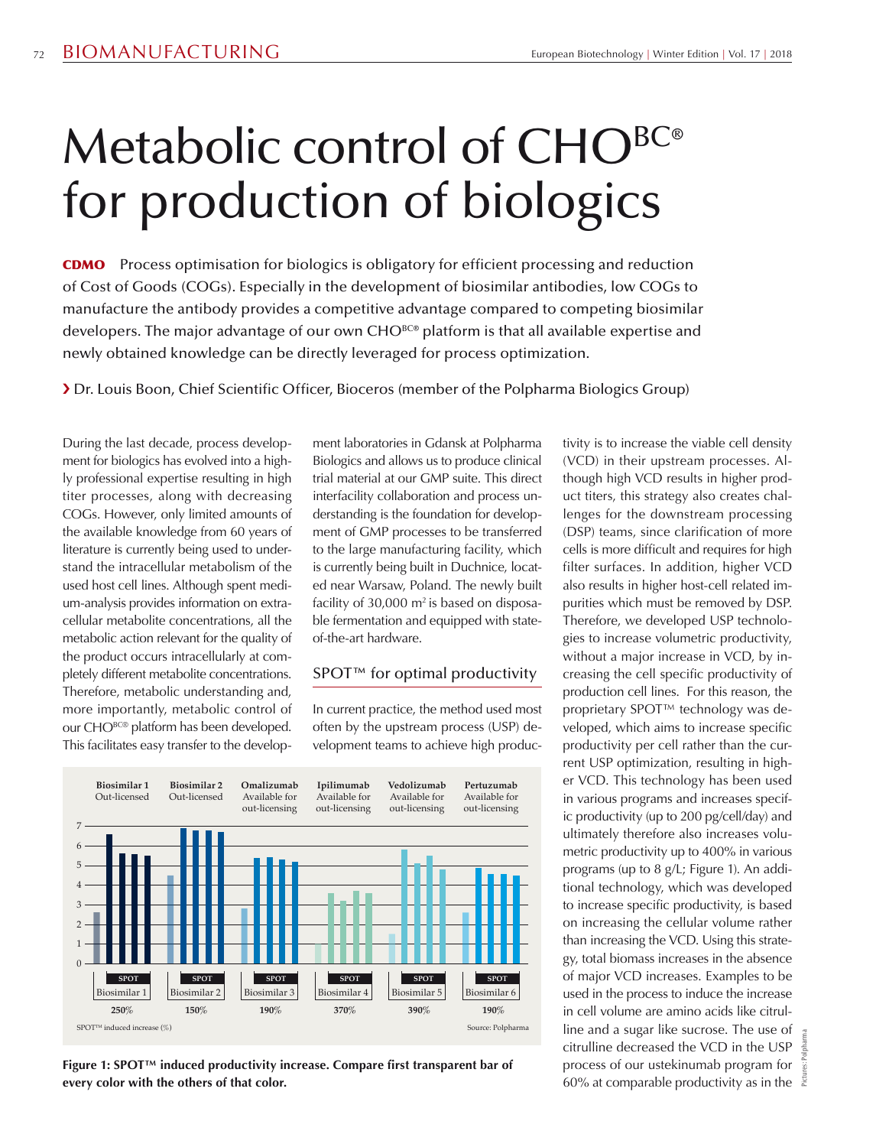## Metabolic control of CHO<sup>BC®</sup> for production of biologics

CDMO Process optimisation for biologics is obligatory for efficient processing and reduction of Cost of Goods (COGs). Especially in the development of biosimilar antibodies, low COGs to manufacture the antibody provides a competitive advantage compared to competing biosimilar developers. The major advantage of our own CHO<sup>BC®</sup> platform is that all available expertise and newly obtained knowledge can be directly leveraged for process optimization.

› Dr. Louis Boon, Chief Scientific Officer, Bioceros (member of the Polpharma Biologics Group)

During the last decade, process development for biologics has evolved into a highly professional expertise resulting in high titer processes, along with decreasing COGs. However, only limited amounts of the available knowledge from 60 years of literature is currently being used to understand the intracellular metabolism of the used host cell lines. Although spent medium-analysis provides information on extracellular metabolite concentrations, all the metabolic action relevant for the quality of the product occurs intracellularly at completely different metabolite concentrations. Therefore, metabolic understanding and, more importantly, metabolic control of our CHO<sup>BC®</sup> platform has been developed. This facilitates easy transfer to the development laboratories in Gdansk at Polpharma Biologics and allows us to produce clinical trial material at our GMP suite. This direct interfacility collaboration and process understanding is the foundation for development of GMP processes to be transferred to the large manufacturing facility, which is currently being built in Duchnice, located near Warsaw, Poland. The newly built facility of  $30,000$  m<sup>2</sup> is based on disposable fermentation and equipped with stateof-the-art hardware.

## SPOT<sup>™</sup> for optimal productivity

In current practice, the method used most often by the upstream process (USP) development teams to achieve high produc-



**Figure 1: SPOT™ induced productivity increase. Compare first transparent bar of every color with the others of that color.**

tivity is to increase the viable cell density (VCD) in their upstream processes. Although high VCD results in higher product titers, this strategy also creates challenges for the downstream processing (DSP) teams, since clarification of more cells is more difficult and requires for high filter surfaces. In addition, higher VCD also results in higher host-cell related impurities which must be removed by DSP. Therefore, we developed USP technologies to increase volumetric productivity, without a major increase in VCD, by increasing the cell specific productivity of production cell lines. For this reason, the proprietary SPOT<sup>™</sup> technology was developed, which aims to increase specific productivity per cell rather than the current USP optimization, resulting in higher VCD. This technology has been used in various programs and increases specific productivity (up to 200 pg/cell/day) and ultimately therefore also increases volumetric productivity up to 400% in various programs (up to 8 g/L; Figure 1). An additional technology, which was developed to increase specific productivity, is based on increasing the cellular volume rather than increasing the VCD. Using this strategy, total biomass increases in the absence of major VCD increases. Examples to be used in the process to induce the increase in cell volume are amino acids like citrulline and a sugar like sucrose. The use of citrulline decreased the VCD in the USP process of our ustekinumab program for 60% at comparable productivity as in the

Pictures: Polpharma